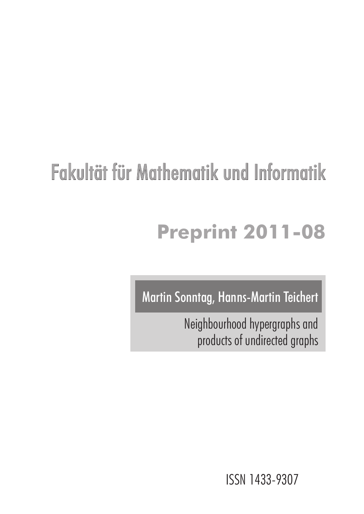# Fakultät für Mathematik und Informatik

# **Preprint 2011-08**

Martin Sonntag, Hanns-Martin Teichert

Neighbourhood hypergraphs and products of undirected graphs

ISSN 1433-9307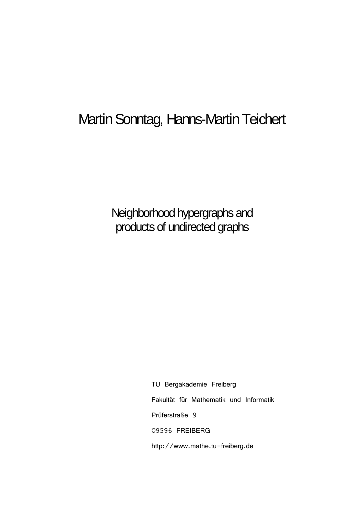# Martin Sonntag, Hanns-Martin Teichert

Neighborhood hypergraphs and products of undirected graphs

> TU Bergakademie Freiberg Fakultät für Mathematik und Informatik Prüferstraße 9 09596 FREIBERG http://www.mathe.tu-freiberg.de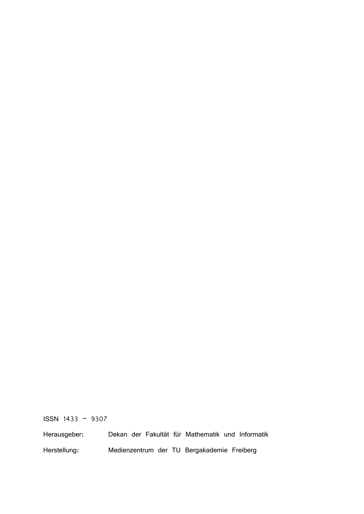ISSN 1433 – 9307

Herausgeber: Dekan der Fakultät für Mathematik und Informatik Herstellung: Medienzentrum der TU Bergakademie Freiberg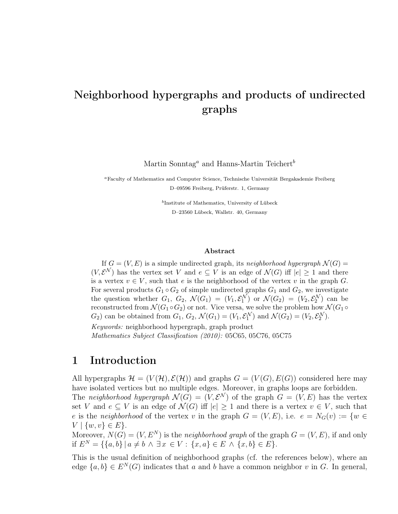# Neighborhood hypergraphs and products of undirected graphs

Martin Sonntag<sup>*a*</sup> and Hanns-Martin Teichert<sup>b</sup>

<sup>a</sup> Faculty of Mathematics and Computer Science, Technische Universität Bergakademie Freiberg D–09596 Freiberg, Prüferstr. 1, Germany

> <sup>b</sup>Institute of Mathematics, University of Lübeck D–23560 Lübeck, Wallstr. 40, Germany

#### Abstract

If  $G = (V, E)$  is a simple undirected graph, its neighborhood hypergraph  $\mathcal{N}(G)$  =  $(V, \mathcal{E}^{\mathcal{N}})$  has the vertex set V and  $e \subseteq V$  is an edge of  $\mathcal{N}(G)$  iff  $|e| \geq 1$  and there is a vertex  $v \in V$ , such that e is the neighborhood of the vertex v in the graph G. For several products  $G_1 \circ G_2$  of simple undirected graphs  $G_1$  and  $G_2$ , we investigate the question whether  $G_1$ ,  $G_2$ ,  $\mathcal{N}(G_1) = (V_1, \mathcal{E}_1^{\mathcal{N}})$  or  $\mathcal{N}(G_2) = (V_2, \mathcal{E}_2^{\mathcal{N}})$  can be reconstructed from  $\mathcal{N}(G_1 \circ G_2)$  or not. Vice versa, we solve the problem how  $\mathcal{N}(G_1 \circ$  $G_2$ ) can be obtained from  $G_1$ ,  $G_2$ ,  $\mathcal{N}(G_1) = (V_1, \mathcal{E}_1^{\mathcal{N}})$  and  $\mathcal{N}(G_2) = (V_2, \mathcal{E}_2^{\mathcal{N}})$ . Keywords: neighborhood hypergraph, graph product

Mathematics Subject Classification (2010): 05C65, 05C76, 05C75

## 1 Introduction

All hypergraphs  $\mathcal{H} = (V(\mathcal{H}), \mathcal{E}(\mathcal{H}))$  and graphs  $G = (V(G), E(G))$  considered here may have isolated vertices but no multiple edges. Moreover, in graphs loops are forbidden.

The neighborhood hypergraph  $\mathcal{N}(G) = (V, \mathcal{E}^{\mathcal{N}})$  of the graph  $G = (V, E)$  has the vertex set V and  $e \subseteq V$  is an edge of  $\mathcal{N}(G)$  iff  $|e| \geq 1$  and there is a vertex  $v \in V$ , such that e is the neighborhood of the vertex v in the graph  $G = (V, E)$ , i.e.  $e = N_G(v) := \{w \in$  $V | \{w, v\} \in E$ .

Moreover,  $N(G) = (V, E^N)$  is the neighborhood graph of the graph  $G = (V, E)$ , if and only if  $E^N = \{ \{a, b\} \mid a \neq b \land \exists x \in V : \{x, a\} \in E \land \{x, b\} \in E \}.$ 

This is the usual definition of neighborhood graphs (cf. the references below), where an edge  $\{a, b\} \in E^N(G)$  indicates that a and b have a common neighbor v in G. In general,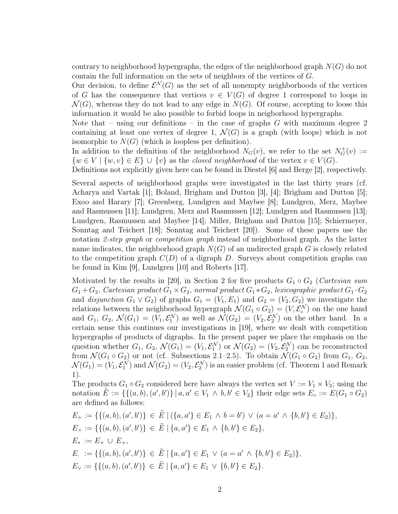contrary to neighborhood hypergraphs, the edges of the neighborhood graph  $N(G)$  do not contain the full information on the sets of neighbors of the vertices of  $G$ .

Our decision, to define  $\mathcal{E}^{\mathcal{N}}(G)$  as the set of all nonempty neighborhoods of the vertices of G has the consequence that vertices  $v \in V(G)$  of degree 1 correspond to loops in  $\mathcal{N}(G)$ , whereas they do not lead to any edge in  $\mathcal{N}(G)$ . Of course, accepting to loose this information it would be also possible to forbid loops in neigborhood hypergraphs.

Note that – using our definitions – in the case of graphs  $G$  with maximum degree 2 containing at least one vertex of degree 1,  $\mathcal{N}(G)$  is a graph (with loops) which is not isomorphic to  $N(G)$  (which is loopless per definition).

In addition to the definition of the neighborhood  $N_G(v)$ , we refer to the set  $N_G^+(v) :=$  $\{w \in V \mid \{w, v\} \in E\} \cup \{v\}$  as the closed neighborhood of the vertex  $v \in V(G)$ .

Definitions not explicitly given here can be found in Diestel [6] and Berge [2], respectively.

Several aspects of neighborhood graphs were investigated in the last thirty years (cf. Acharya and Vartak [1]; Boland, Brigham and Dutton [3], [4]; Brigham and Dutton [5]; Exoo and Harary [7]; Greenberg, Lundgren and Maybee [8]; Lundgren, Merz, Maybee and Rasmussen [11]; Lundgren, Merz and Rasmussen [12]; Lundgren and Rasmussen [13]; Lundgren, Rasmussen and Maybee [14]; Miller, Brigham and Dutton [15]; Schiermeyer, Sonntag and Teichert [18]; Sonntag and Teichert [20]). Some of these papers use the notation 2-step graph or competition graph instead of neighborhood graph. As the latter name indicates, the neighborhood graph  $N(G)$  of an undirected graph G is closely related to the competition graph  $C(D)$  of a digraph D. Surveys about competition graphs can be found in Kim [9], Lundgren [10] and Roberts [17].

Motivated by the results in [20], in Section 2 for five products  $G_1 \circ G_2$  (Cartesian sum  $G_1+G_2,$   $Cartesian\ product\ G_1\times G_2,$   $normal\ product\ G_1*G_2,$   $lexicographic\ product\ G_1\cdot G_2$ and disjunction  $G_1 \vee G_2$ ) of graphs  $G_1 = (V_1, E_1)$  and  $G_2 = (V_2, G_2)$  we investigate the relations between the neighborhood hypergraph  $\mathcal{N}(G_1 \circ G_2) = (V, \mathcal{E}_0^{\mathcal{N}})$  on the one hand and  $G_1, G_2, \mathcal{N}(G_1) = (V_1, \mathcal{E}_1^{\mathcal{N}})$  as well as  $\mathcal{N}(G_2) = (V_2, \mathcal{E}_2^{\mathcal{N}})$  on the other hand. In a certain sense this continues our investigations in [19], where we dealt with competition hypergraphs of products of digraphs. In the present paper we place the emphasis on the question whether  $G_1$ ,  $G_2$ ,  $\mathcal{N}(G_1) = (V_1, \mathcal{E}_1^{\mathcal{N}})$  or  $\mathcal{N}(G_2) = (V_2, \mathcal{E}_2^{\mathcal{N}})$  can be reconstructed from  $\mathcal{N}(G_1 \circ G_2)$  or not (cf. Subsections 2.1–2.5). To obtain  $\mathcal{N}(G_1 \circ G_2)$  from  $G_1, G_2$ ,  $\mathcal{N}(G_1) = (V_1, \mathcal{E}_1^{\mathcal{N}})$  and  $\mathcal{N}(G_2) = (V_2, \mathcal{E}_2^{\mathcal{N}})$  is an easier problem (cf. Theorem 1 and Remark 1).

The products  $G_1 \circ G_2$  considered here have always the vertex set  $V := V_1 \times V_2$ ; using the notation  $\tilde{E} := \{ \{ (a, b), (a', b') \} \mid a, a' \in V_1 \land b, b' \in V_2 \}$  their edge sets  $E_{\circ} := E(G_1 \circ G_2)$ are defined as follows:

$$
E_{+} := \{ \{ (a, b), (a', b') \} \in \tilde{E} \mid (\{a, a' \} \in E_{1} \land b = b') \lor (a = a' \land \{b, b' \} \in E_{2}) \},
$$
  
\n
$$
E_{\times} := \{ \{ (a, b), (a', b') \} \in \tilde{E} \mid \{a, a' \} \in E_{1} \land \{b, b' \} \in E_{2} \},
$$
  
\n
$$
E_{*} := E_{\times} \cup E_{+},
$$
  
\n
$$
E_{\times} := \{ \{ (a, b), (a', b') \} \in \tilde{E} \mid \{a, a' \} \in E_{1} \lor (a = a' \land \{b, b' \} \in E_{2}) \},
$$
  
\n
$$
E_{\vee} := \{ \{ (a, b), (a', b') \} \in \tilde{E} \mid \{a, a' \} \in E_{1} \lor \{b, b' \} \in E_{2} \}.
$$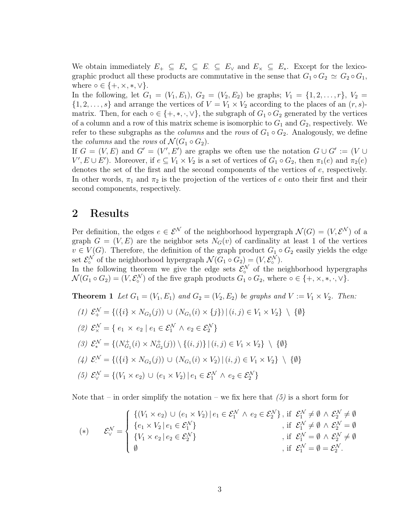We obtain immediately  $E_+ \subseteq E_* \subseteq E_* \subseteq E_\vee$  and  $E_\times \subseteq E_*$ . Except for the lexicographic product all these products are commutative in the sense that  $G_1 \circ G_2 \simeq G_2 \circ G_1$ , where  $\circ \in \{+, \times, *, \vee\}.$ 

In the following, let  $G_1 = (V_1, E_1), G_2 = (V_2, E_2)$  be graphs;  $V_1 = \{1, 2, ..., r\}, V_2 =$  $\{1, 2, \ldots, s\}$  and arrange the vertices of  $V = V_1 \times V_2$  according to the places of an  $(r, s)$ matrix. Then, for each ∘ ∈ {+, \*, ·, ∨}, the subgraph of  $G_1 \circ G_2$  generated by the vertices of a column and a row of this matrix scheme is isomorphic to  $G_1$  and  $G_2$ , respectively. We refer to these subgraphs as the *columns* and the rows of  $G_1 \circ G_2$ . Analogously, we define the *columns* and the *rows* of  $\mathcal{N}(G_1 \circ G_2)$ .

If  $G = (V, E)$  and  $G' = (V', E')$  are graphs we often use the notation  $G \cup G' := (V \cup$  $V', E \cup E'$ ). Moreover, if  $e \subseteq V_1 \times V_2$  is a set of vertices of  $G_1 \circ G_2$ , then  $\pi_1(e)$  and  $\pi_2(e)$ denotes the set of the first and the second components of the vertices of  $e$ , respectively. In other words,  $\pi_1$  and  $\pi_2$  is the projection of the vertices of e onto their first and their second components, respectively.

## 2 Results

Per definition, the edges  $e \in \mathcal{E}^{\mathcal{N}}$  of the neighborhood hypergraph  $\mathcal{N}(G) = (V, \mathcal{E}^{\mathcal{N}})$  of a graph  $G = (V, E)$  are the neighbor sets  $N_G(v)$  of cardinality at least 1 of the vertices  $v \in V(G)$ . Therefore, the definition of the graph product  $G_1 \circ G_2$  easily yields the edge set  $\mathcal{E}_\circ^{\mathcal{N}}$  of the neighborhood hypergraph  $\mathcal{N}(G_1 \circ G_2) = (V, \mathcal{E}_\circ^{\mathcal{N}})$ .

In the following theorem we give the edge sets  $\mathcal{E}^{\mathcal{N}}_{\circ}$  of the neighborhood hypergraphs  $\mathcal{N}(G_1 \circ G_2) = (V, \mathcal{E}_\circ^{\mathcal{N}})$  of the five graph products  $G_1 \circ G_2$ , where  $\circ \in \{+, \times, *, \cdot, \vee\}$ .

**Theorem 1** Let  $G_1 = (V_1, E_1)$  and  $G_2 = (V_2, E_2)$  be graphs and  $V := V_1 \times V_2$ . Then:

(1)  $\mathcal{E}_+^{\mathcal{N}} = \{ (\{i\} \times N_{G_2}(j)) \cup (N_{G_1}(i) \times \{j\}) \mid (i,j) \in V_1 \times V_2 \} \setminus \{ \emptyset \}$ (2)  $\mathcal{E}_{\times}^{\mathcal{N}} = \{ e_1 \times e_2 \mid e_1 \in \mathcal{E}_1^{\mathcal{N}} \wedge e_2 \in \mathcal{E}_2^{\mathcal{N}} \}$ (3)  $\mathcal{E}^{\mathcal{N}}_{*} = \{ (N_{G_1}^{+}(i) \times N_{G_2}^{+}(j)) \setminus \{ (i,j) \} | (i,j) \in V_1 \times V_2 \} \setminus \{ \emptyset \}$  $(4) \mathcal{E}^{\mathcal{N}} = \{ (\{i\} \times N_{G_2}(j)) \cup (N_{G_1}(i) \times V_2) \mid (i,j) \in V_1 \times V_2 \} \setminus \{ \emptyset \}$ (5)  $\mathcal{E}_{\vee}^{\mathcal{N}} = \{ (V_1 \times e_2) \cup (e_1 \times V_2) \mid e_1 \in \mathcal{E}_1^{\mathcal{N}} \wedge e_2 \in \mathcal{E}_2^{\mathcal{N}} \}$ 

Note that – in order simplify the notation – we fix here that  $(5)$  is a short form for

$$
(*) \qquad \mathcal{E}_{\vee}^{\mathcal{N}} = \begin{cases} \left\{ (V_1 \times e_2) \cup (e_1 \times V_2) \, | \, e_1 \in \mathcal{E}_1^{\mathcal{N}} \wedge e_2 \in \mathcal{E}_2^{\mathcal{N}} \right\}, \text{ if } \mathcal{E}_1^{\mathcal{N}} \neq \emptyset \wedge \mathcal{E}_2^{\mathcal{N}} \neq \emptyset \\ \left\{ e_1 \times V_2 \, | \, e_1 \in \mathcal{E}_1^{\mathcal{N}} \right\} & \text{ if } \mathcal{E}_1^{\mathcal{N}} \neq \emptyset \wedge \mathcal{E}_2^{\mathcal{N}} = \emptyset \\ \left\{ V_1 \times e_2 \, | \, e_2 \in \mathcal{E}_2^{\mathcal{N}} \right\} & \text{ if } \mathcal{E}_1^{\mathcal{N}} = \emptyset \wedge \mathcal{E}_2^{\mathcal{N}} \neq \emptyset \\ \emptyset & \text{ if } \mathcal{E}_1^{\mathcal{N}} = \emptyset = \mathcal{E}_2^{\mathcal{N}}. \end{cases}
$$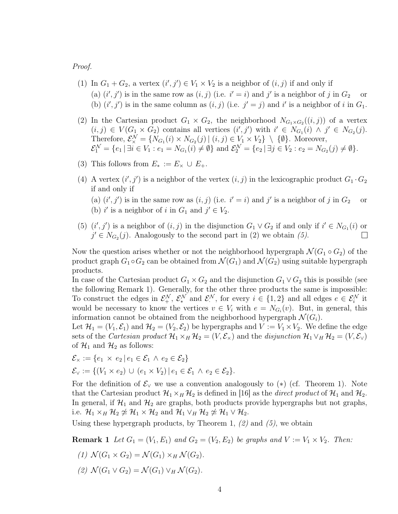Proof.

- (1) In  $G_1 + G_2$ , a vertex  $(i', j') \in V_1 \times V_2$  is a neighbor of  $(i, j)$  if and only if (a)  $(i', j')$  is in the same row as  $(i, j)$  (i.e.  $i' = i$ ) and  $j'$  is a neighbor of j in  $G_2$  or (b)  $(i', j')$  is in the same column as  $(i, j)$  (i.e.  $j' = j$ ) and i' is a neighbor of i in  $G_1$ .
- (2) In the Cartesian product  $G_1 \times G_2$ , the neighborhood  $N_{G_1 \times G_2}((i,j))$  of a vertex  $(i, j) \in V(G_1 \times G_2)$  contains all vertices  $(i', j')$  with  $i' \in N_{G_1}(i) \land j' \in N_{G_2}(j)$ . Therefore,  $\mathcal{E}_{\times}^{\mathcal{N}} = \{N_{G_1}(i) \times N_{G_2}(j) | (i,j) \in V_1 \times V_2\} \setminus \{\emptyset\}$ . Moreover,  $\mathcal{E}_1^{\mathcal{N}} = \{e_1 \mid \exists i \in V_1 : e_1 = N_{G_1}(i) \neq \emptyset\}$  and  $\mathcal{E}_2^{\mathcal{N}} = \{e_2 \mid \exists j \in V_2 : e_2 = N_{G_2}(j) \neq \emptyset\}.$
- (3) This follows from  $E_* := E_{\times} \cup E_{+}.$
- (4) A vertex  $(i', j')$  is a neighbor of the vertex  $(i, j)$  in the lexicographic product  $G_1 \cdot G_2$ if and only if (a)  $(i', j')$  is in the same row as  $(i, j)$  (i.e.  $i' = i$ ) and  $j'$  is a neighbor of j in  $G_2$  or (b) i' is a neighbor of i in  $G_1$  and  $j' \in V_2$ .
- (5)  $(i', j')$  is a neighbor of  $(i, j)$  in the disjunction  $G_1 \vee G_2$  if and only if  $i' \in N_{G_1}(i)$  or  $j' \in N_{G_2}(j)$ . Analogously to the second part in (2) we obtain (5).  $\Box$

Now the question arises whether or not the neighborhood hypergraph  $\mathcal{N}(G_1 \circ G_2)$  of the product graph  $G_1 \circ G_2$  can be obtained from  $\mathcal{N}(G_1)$  and  $\mathcal{N}(G_2)$  using suitable hypergraph products.

In case of the Cartesian product  $G_1 \times G_2$  and the disjunction  $G_1 \vee G_2$  this is possible (see the following Remark 1). Generally, for the other three products the same is impossible: To construct the edges in  $\mathcal{E}_+^{\mathcal{N}}, \mathcal{E}_*^{\mathcal{N}}$  and  $\mathcal{E}_*^{\mathcal{N}},$  for every  $i \in \{1,2\}$  and all edges  $e \in \mathcal{E}_i^{\mathcal{N}}$  it would be necessary to know the vertices  $v \in V_i$  with  $e = N_{G_i}(v)$ . But, in general, this information cannot be obtained from the neighborhood hypergraph  $\mathcal{N}(G_i)$ .

Let  $\mathcal{H}_1 = (V_1, \mathcal{E}_1)$  and  $\mathcal{H}_2 = (V_2, \mathcal{E}_2)$  be hypergraphs and  $V := V_1 \times V_2$ . We define the edge sets of the Cartesian product  $\mathcal{H}_1 \times_H \mathcal{H}_2 = (V, \mathcal{E}_{\times})$  and the disjunction  $\mathcal{H}_1 \vee_H \mathcal{H}_2 = (V, \mathcal{E}_{\vee})$ of  $\mathcal{H}_1$  and  $\mathcal{H}_2$  as follows:

$$
\mathcal{E}_{\times} := \{e_1 \times e_2 \mid e_1 \in \mathcal{E}_1 \land e_2 \in \mathcal{E}_2\}
$$
  

$$
\mathcal{E}_{\vee} := \{(V_1 \times e_2) \cup (e_1 \times V_2) \mid e_1 \in \mathcal{E}_1 \land e_2 \in \mathcal{E}_2\}.
$$

For the definition of  $\mathcal{E}_{\vee}$  we use a convention analogously to  $(*)$  (cf. Theorem 1). Note that the Cartesian product  $\mathcal{H}_1 \times_H \mathcal{H}_2$  is defined in [16] as the *direct product* of  $\mathcal{H}_1$  and  $\mathcal{H}_2$ . In general, if  $\mathcal{H}_1$  and  $\mathcal{H}_2$  are graphs, both products provide hypergraphs but not graphs, i.e.  $\mathcal{H}_1 \times_H \mathcal{H}_2 \not\simeq \mathcal{H}_1 \times \mathcal{H}_2$  and  $\mathcal{H}_1 \vee_H \mathcal{H}_2 \not\simeq \mathcal{H}_1 \vee \mathcal{H}_2$ .

Using these hypergraph products, by Theorem 1,  $(2)$  and  $(5)$ , we obtain

**Remark 1** Let  $G_1 = (V_1, E_1)$  and  $G_2 = (V_2, E_2)$  be graphs and  $V := V_1 \times V_2$ . Then:

- (1)  $\mathcal{N}(G_1 \times G_2) = \mathcal{N}(G_1) \times_H \mathcal{N}(G_2).$
- (2)  $\mathcal{N}(G_1 \vee G_2) = \mathcal{N}(G_1) \vee_H \mathcal{N}(G_2).$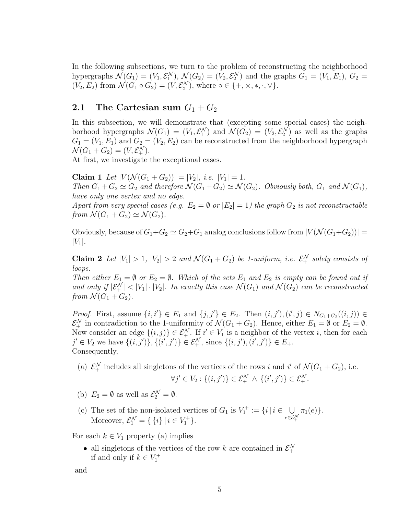In the following subsections, we turn to the problem of reconstructing the neighborhood hypergraphs  $\mathcal{N}(G_1) = (V_1, \mathcal{E}_1^{\mathcal{N}}), \, \mathcal{N}(G_2) = (V_2, \mathcal{E}_2^{\mathcal{N}})$  and the graphs  $G_1 = (V_1, E_1), G_2 =$  $(V_2, E_2)$  from  $\mathcal{N}(G_1 \circ G_2) = (V, \mathcal{E}_o^{\mathcal{N}})$ , where  $\circ \in \{+, \times, *, \cdot, \vee\}$ .

# 2.1 The Cartesian sum  $G_1 + G_2$

In this subsection, we will demonstrate that (excepting some special cases) the neighborhood hypergraphs  $\mathcal{N}(G_1) = (V_1, \mathcal{E}_1^{\mathcal{N}})$  and  $\mathcal{N}(G_2) = (V_2, \mathcal{E}_2^{\mathcal{N}})$  as well as the graphs  $G_1 = (V_1, E_1)$  and  $G_2 = (V_2, E_2)$  can be reconstructed from the neighborhood hypergraph  $\mathcal{N}(G_1+G_2)=(V,\mathcal{E}_+^{\mathcal{N}}).$ 

At first, we investigate the exceptional cases.

Claim 1 Let  $|V(\mathcal{N}(G_1+G_2))|=|V_2|,$  i.e.  $|V_1|=1$ . Then  $G_1 + G_2 \simeq G_2$  and therefore  $\mathcal{N}(G_1 + G_2) \simeq \mathcal{N}(G_2)$ . Obviously both,  $G_1$  and  $\mathcal{N}(G_1)$ , have only one vertex and no edge. Apart from very special cases (e.g.  $E_2 = \emptyset$  or  $|E_2| = 1$ ) the graph  $G_2$  is not reconstructable from  $\mathcal{N}(G_1 + G_2) \simeq \mathcal{N}(G_2)$ .

Obviously, because of  $G_1+G_2 \simeq G_2+G_1$  analog conclusions follow from  $|V(\mathcal{N}(G_1+G_2))|$  =  $|V_1|$ .

Claim 2 Let  $|V_1| > 1$ ,  $|V_2| > 2$  and  $\mathcal{N}(G_1 + G_2)$  be 1-uniform, i.e.  $\mathcal{E}_+^{\mathcal{N}}$  solely consists of loops.

Then either  $E_1 = \emptyset$  or  $E_2 = \emptyset$ . Which of the sets  $E_1$  and  $E_2$  is empty can be found out if and only if  $|\mathcal{E}^{\mathcal{N}}_{+}| < |V_1| \cdot |V_2|$ . In exactly this case  $\mathcal{N}(G_1)$  and  $\mathcal{N}(G_2)$  can be reconstructed from  $\mathcal{N}(G_1 + G_2)$ .

*Proof.* First, assume  $\{i, i'\} \in E_1$  and  $\{j, j'\} \in E_2$ . Then  $(i, j')$ ,  $(i', j) \in N_{G_1+G_2}((i, j)) \in$  $\mathcal{E}_+^{\mathcal{N}}$  in contradiction to the 1-uniformity of  $\mathcal{N}(G_1 + G_2)$ . Hence, either  $E_1 = \emptyset$  or  $E_2 = \emptyset$ . Now consider an edge  $\{(i,j)\}\in \mathcal{E}_+^{\mathcal{N}}$ . If  $i' \in V_1$  is a neighbor of the vertex i, then for each  $j' \in V_2$  we have  $\{(i, j')\}, \{(i', j')\} \in \mathcal{E}_+^{\mathcal{N}}, \text{ since } \{(i, j'), (i', j')\} \in E_+.$ Consequently,

- (a)  $\mathcal{E}_+^{\mathcal{N}}$  includes all singletons of the vertices of the rows *i* and *i'* of  $\mathcal{N}(G_1+G_2)$ , i.e.  $\forall j' \in V_2 : \{(i, j')\} \in \mathcal{E}_+^{\mathcal{N}} \wedge \{(i', j')\} \in \mathcal{E}_+^{\mathcal{N}}.$
- (b)  $E_2 = \emptyset$  as well as  $\mathcal{E}_2^{\mathcal{N}} = \emptyset$ .
- (c) The set of the non-isolated vertices of  $G_1$  is  $V_1^+ := \{i \mid i \in \cup \}$  $e{\in}\mathcal{E}^{\mathcal{N}}_{+}$  $\pi_1(e)\}.$ Moreover,  $\mathcal{E}_1^{\mathcal{N}} = \{ \{i\} \mid i \in V_1^+ \}.$

For each  $k \in V_1$  property (a) implies

• all singletons of the vertices of the row k are contained in  $\mathcal{E}^{\mathcal{N}}_{+}$ if and only if  $k \in V_1^+$ 

```
and
```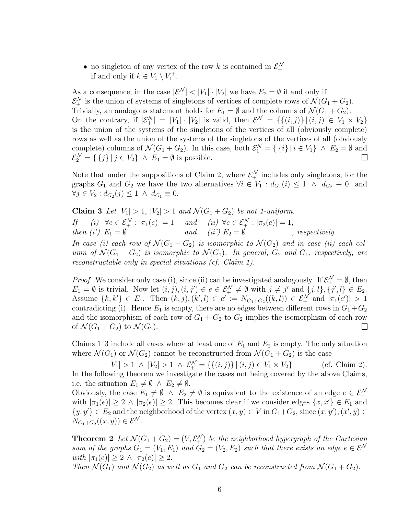• no singleton of any vertex of the row k is contained in  $\mathcal{E}^{\mathcal{N}}_{+}$ if and only if  $k \in V_1 \setminus V_1^+$ .

As a consequence, in the case  $|\mathcal{E}_+^{\mathcal{N}}| < |V_1| \cdot |V_2|$  we have  $E_2 = \emptyset$  if and only if  $\mathcal{E}_+^{\mathcal{N}}$  is the union of systems of singletons of vertices of complete rows of  $\mathcal{N}(G_1+G_2)$ . Trivially, an analogous statement holds for  $E_1 = \emptyset$  and the columns of  $\mathcal{N}(G_1 + G_2)$ . On the contrary, if  $|\mathcal{E}^{\mathcal{N}}_{+}| = |V_1| \cdot |V_2|$  is valid, then  $\mathcal{E}^{\mathcal{N}}_{+} = \{ \{(i,j)\} | (i,j) \in V_1 \times V_2 \}$ is the union of the systems of the singletons of the vertices of all (obviously complete) rows as well as the union of the systems of the singletons of the vertices of all (obviously complete) columns of  $\mathcal{N}(G_1 + G_2)$ . In this case, both  $\mathcal{E}_1^{\mathcal{N}} = \{ \{i\} \mid i \in V_1 \} \land E_2 = \emptyset$  and  $\mathcal{E}_2^{\mathcal{N}} = \{ \{j\} | j \in V_2 \} \land E_1 = \emptyset$  is possible.

Note that under the suppositions of Claim 2, where  $\mathcal{E}_+^{\mathcal{N}}$  includes only singletons, for the graphs  $G_1$  and  $G_2$  we have the two alternatives  $\forall i \in V_1 : d_{G_1}(i) \leq 1 \land d_{G_2} \equiv 0$  and  $\forall j \in V_2 : d_{G_2}(j) \leq 1 \land d_{G_1} \equiv 0.$ 

Claim 3 Let  $|V_1| > 1$ ,  $|V_2| > 1$  and  $\mathcal{N}(G_1 + G_2)$  be not 1-uniform. If (i)  $\forall e \in \mathcal{E}_+^{\mathcal{N}} : |\pi_1(e)| = 1$  and (ii)  $\forall e \in \mathcal{E}_+^{\mathcal{N}} : |\pi_2(e)| = 1$ , then (i')  $E_1 = \emptyset$  and (ii')  $E_2 = \emptyset$ , respectively. In case (i) each row of  $\mathcal{N}(G_1 + G_2)$  is isomorphic to  $\mathcal{N}(G_2)$  and in case (ii) each column of  $\mathcal{N}(G_1 + G_2)$  is isomorphic to  $\mathcal{N}(G_1)$ . In general,  $G_2$  and  $G_1$ , respectively, are reconstructable only in special situations (cf. Claim 1).

*Proof.* We consider only case (i), since (ii) can be investigated analogously. If  $\mathcal{E}_+^{\mathcal{N}} = \emptyset$ , then  $E_1 = \emptyset$  is trivial. Now let  $(i, j), (i, j') \in e \in \mathcal{E}_+^{\mathcal{N}} \neq \emptyset$  with  $j \neq j'$  and  $\{j, l\}, \{j', l\} \in E_2$ . Assume  $\{k, k'\} \in E_1$ . Then  $(k, j), (k', l) \in e' := N_{G_1 + G_2}((k, l)) \in \mathcal{E}_+^{\mathcal{N}}$  and  $|\pi_1(e')| > 1$ contradicting (i). Hence  $E_1$  is empty, there are no edges between different rows in  $G_1 + G_2$ and the isomorphism of each row of  $G_1 + G_2$  to  $G_2$  implies the isomorphism of each row of  $\mathcal{N}(G_1 + G_2)$  to  $\mathcal{N}(G_2)$ .  $\overline{\phantom{a}}$ 

Claims 1–3 include all cases where at least one of  $E_1$  and  $E_2$  is empty. The only situation where  $\mathcal{N}(G_1)$  or  $\mathcal{N}(G_2)$  cannot be reconstructed from  $\mathcal{N}(G_1 + G_2)$  is the case

 $|V_1| > 1 \land |V_2| > 1 \land \mathcal{E}_+^{\mathcal{N}} = \{ \{ (i,j) \} \mid (i,j) \in V_1 \times V_2 \}$  (cf. Claim 2). In the following theorem we investigate the cases not being covered by the above Claims, i.e. the situation  $E_1 \neq \emptyset \land E_2 \neq \emptyset$ .

Obviously, the case  $E_1 \neq \emptyset \land E_2 \neq \emptyset$  is equivalent to the existence of an edge  $e \in \mathcal{E}_+^{\mathcal{N}}$ with  $|\pi_1(e)| \geq 2 \wedge |\pi_2(e)| \geq 2$ . This becomes clear if we consider edges  $\{x, x'\} \in E_1$  and  $\{y, y'\} \in E_2$  and the neighborhood of the vertex  $(x, y) \in V$  in  $G_1 + G_2$ , since  $(x, y')$ ,  $(x', y) \in V$  $N_{G_1+G_2}((x, y)) \in \mathcal{E}_+^{\mathcal{N}}.$ 

**Theorem 2** Let  $\mathcal{N}(G_1 + G_2) = (V, \mathcal{E}_+^{\mathcal{N}})$  be the neighborhood hypergraph of the Cartesian sum of the graphs  $G_1 = (V_1, E_1)$  and  $G_2 = (V_2, E_2)$  such that there exists an edge  $e \in \mathcal{E}_+^{\mathcal{N}}$ with  $|\pi_1(e)| \geq 2 \wedge |\pi_2(e)| \geq 2$ .

Then  $\mathcal{N}(G_1)$  and  $\mathcal{N}(G_2)$  as well as  $G_1$  and  $G_2$  can be reconstructed from  $\mathcal{N}(G_1 + G_2)$ .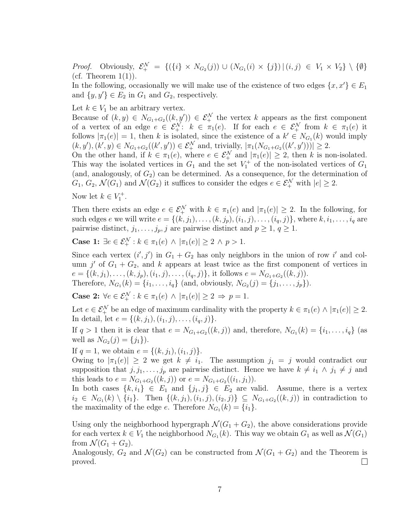*Proof.* Obviously,  $\mathcal{E}_+^{\mathcal{N}} = \{(\{i\} \times N_{G_2}(j)) \cup (N_{G_1}(i) \times \{j\}) | (i,j) \in V_1 \times V_2\} \setminus \{\emptyset\}$ (cf. Theorem  $1(1)$ ).

In the following, occasionally we will make use of the existence of two edges  $\{x, x'\} \in E_1$ and  $\{y, y'\} \in E_2$  in  $G_1$  and  $G_2$ , respectively.

Let  $k \in V_1$  be an arbitrary vertex.

Because of  $(k, y) \in N_{G_1+G_2}((k, y')) \in \mathcal{E}_+^{\mathcal{N}}$  the vertex k appears as the first component of a vertex of an edge  $e \in \mathcal{E}_+^{\mathcal{N}}$ :  $k \in \pi_1(e)$ . If for each  $e \in \mathcal{E}_+^{\mathcal{N}}$  from  $k \in \pi_1(e)$  it follows  $|\pi_1(e)| = 1$ , then k is isolated, since the existence of a  $k' \in N_{G_1}(k)$  would imply  $(k, y'), (k', y) \in N_{G_1+G_2}((k', y')) \in \mathcal{E}_+^{\mathcal{N}}$  and, trivially,  $|\pi_1(N_{G_1+G_2}((k', y')))| \geq 2$ .

On the other hand, if  $k \in \pi_1(e)$ , where  $e \in \mathcal{E}_+^{\mathcal{N}}$  and  $|\pi_1(e)| \geq 2$ , then k is non-isolated. This way the isolated vertices in  $G_1$  and the set  $V_1^+$  of the non-isolated vertices of  $G_1$ (and, analogously, of  $G_2$ ) can be determined. As a consequence, for the determination of  $G_1, G_2, \mathcal{N}(G_1)$  and  $\mathcal{N}(G_2)$  it suffices to consider the edges  $e \in \mathcal{E}_+^{\mathcal{N}}$  with  $|e| \geq 2$ .

Now let  $k \in V_1^+$ .

Then there exists an edge  $e \in \mathcal{E}_+^{\mathcal{N}}$  with  $k \in \pi_1(e)$  and  $|\pi_1(e)| \geq 2$ . In the following, for such edges e we will write  $e = \{(k, j_1), \ldots, (k, j_p), (i_1, j), \ldots, (i_q, j)\}$ , where  $k, i_1, \ldots, i_q$  are pairwise distinct,  $j_1, \ldots, j_p, j$  are pairwise distinct and  $p \geq 1, q \geq 1$ .

Case 1:  $\exists e \in \mathcal{E}_+^{\mathcal{N}} : k \in \pi_1(e) \land |\pi_1(e)| \geq 2 \land p > 1.$ 

Since each vertex  $(i', j')$  in  $G_1 + G_2$  has only neighbors in the union of row i' and column  $j'$  of  $G_1 + G_2$ , and k appears at least twice as the first component of vertices in  $e = \{(k, j_1), \ldots, (k, j_p), (i_1, j), \ldots, (i_q, j)\}\,$ , it follows  $e = N_{G_1 + G_2}((k, j)).$ Therefore,  $N_{G_1}(k) = \{i_1, \ldots, i_q\}$  (and, obviously,  $N_{G_2}(j) = \{j_1, \ldots, j_p\}$ ).

**Case 2:**  $\forall e \in \mathcal{E}_+^{\mathcal{N}} : k \in \pi_1(e) \land |\pi_1(e)| \geq 2 \Rightarrow p = 1.$ 

Let  $e \in \mathcal{E}_+^{\mathcal{N}}$  be an edge of maximum cardinality with the property  $k \in \pi_1(e) \land |\pi_1(e)| \geq 2$ . In detail, let  $e = \{(k, j_1), (i_1, j), \ldots, (i_q, j)\}.$ 

If  $q > 1$  then it is clear that  $e = N_{G_1+G_2}((k, j))$  and, therefore,  $N_{G_1}(k) = \{i_1, \ldots, i_q\}$  (as well as  $N_{G_2}(j) = \{j_1\}$ .

If  $q = 1$ , we obtain  $e = \{(k, j_1), (i_1, j)\}.$ 

Owing to  $|\pi_1(e)| \geq 2$  we get  $k \neq i_1$ . The assumption  $j_1 = j$  would contradict our supposition that  $j, j_1, \ldots, j_p$  are pairwise distinct. Hence we have  $k \neq i_1 \wedge j_1 \neq j$  and this leads to  $e = N_{G_1+G_2}((k, j))$  or  $e = N_{G_1+G_2}((i_1, j_1)).$ 

In both cases  $\{k, i_1\} \in E_1$  and  $\{j_1, j\} \in E_2$  are valid. Assume, there is a vertex  $i_2 \in N_{G_1}(k) \setminus \{i_1\}$ . Then  $\{(k, j_1), (i_1, j), (i_2, j)\} \subseteq N_{G_1+G_2}((k, j))$  in contradiction to the maximality of the edge  $e$ . Therefore  $N_{G_1}(k) = \{i_1\}.$ 

Using only the neighborhood hypergraph  $\mathcal{N}(G_1 + G_2)$ , the above considerations provide for each vertex  $k \in V_1$  the neighborhood  $N_{G_1}(k)$ . This way we obtain  $G_1$  as well as  $\mathcal{N}(G_1)$ from  $\mathcal{N}(G_1 + G_2)$ .

Analogously,  $G_2$  and  $\mathcal{N}(G_2)$  can be constructed from  $\mathcal{N}(G_1 + G_2)$  and the Theorem is  $\Box$ proved.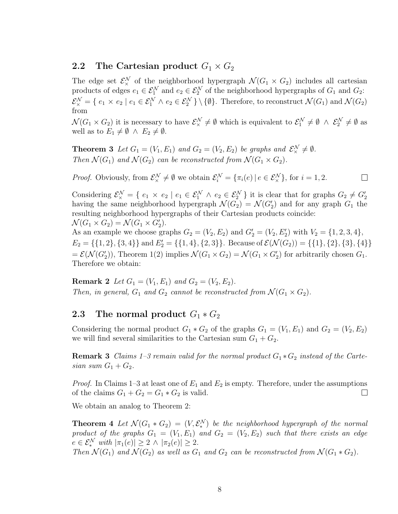#### 2.2 The Cartesian product  $G_1 \times G_2$

The edge set  $\mathcal{E}_{\times}^{\mathcal{N}}$  of the neighborhood hypergraph  $\mathcal{N}(G_1 \times G_2)$  includes all cartesian products of edges  $e_1 \in \mathcal{E}_1^{\mathcal{N}}$  and  $e_2 \in \mathcal{E}_2^{\mathcal{N}}$  of the neighborhood hypergraphs of  $G_1$  and  $G_2$ :  $\mathcal{E}_{\times}^{\mathcal{N}} = \{ e_1 \times e_2 \mid e_1 \in \mathcal{E}_1^{\mathcal{N}} \wedge e_2 \in \mathcal{E}_2^{\mathcal{N}} \} \setminus \{ \emptyset \}.$  Therefore, to reconstruct  $\mathcal{N}(G_1)$  and  $\mathcal{N}(G_2)$ from

 $\mathcal{N}(G_1 \times G_2)$  it is necessary to have  $\mathcal{E}_\times^{\mathcal{N}} \neq \emptyset$  which is equivalent to  $\mathcal{E}_1^{\mathcal{N}} \neq \emptyset \wedge \mathcal{E}_2^{\mathcal{N}} \neq \emptyset$  as well as to  $E_1 \neq \emptyset \land E_2 \neq \emptyset$ .

**Theorem 3** Let  $G_1 = (V_1, E_1)$  and  $G_2 = (V_2, E_2)$  be graphs and  $\mathcal{E}_\times^{\mathcal{N}} \neq \emptyset$ . Then  $\mathcal{N}(G_1)$  and  $\mathcal{N}(G_2)$  can be reconstructed from  $\mathcal{N}(G_1 \times G_2)$ .

*Proof.* Obviously, from  $\mathcal{E}_{\times}^{\mathcal{N}} \neq \emptyset$  we obtain  $\mathcal{E}_{i}^{\mathcal{N}} = {\pi_i(e) | e \in \mathcal{E}_{\times}^{\mathcal{N}}}$ , for  $i = 1, 2$ .  $\Box$ 

Considering  $\mathcal{E}_{\times}^{\mathcal{N}} = \{ e_1 \times e_2 \mid e_1 \in \mathcal{E}_{1}^{\mathcal{N}} \wedge e_2 \in \mathcal{E}_{2}^{\mathcal{N}} \}$  it is clear that for graphs  $G_2 \neq G_2'$ having the same neighborhood hypergraph  $\mathcal{N}(G_2) = \mathcal{N}(G'_2)$  and for any graph  $G_1$  the resulting neighborhood hypergraphs of their Cartesian products coincide:  $\mathcal{N}(G_1 \times G_2) = \mathcal{N}(G_1 \times G'_2).$ As an example we choose graphs  $G_2 = (V_2, E_2)$  and  $G'_2 = (V_2, E'_2)$  with  $V_2 = \{1, 2, 3, 4\}$ ,

 $E_2 = \{\{1, 2\}, \{3, 4\}\}\$  and  $E_2' = \{\{1, 4\}, \{2, 3\}\}\$ . Because of  $\mathcal{E}(\mathcal{N}(G_2)) = \{\{1\}, \{2\}, \{3\}, \{4\}\}\$  $= \mathcal{E}(\mathcal{N}(G'_2))$ , Theorem 1(2) implies  $\mathcal{N}(G_1 \times G_2) = \mathcal{N}(G_1 \times G'_2)$  for arbitrarily chosen  $G_1$ . Therefore we obtain:

**Remark 2** Let  $G_1 = (V_1, E_1)$  and  $G_2 = (V_2, E_2)$ . Then, in general,  $G_1$  and  $G_2$  cannot be reconstructed from  $\mathcal{N}(G_1 \times G_2)$ .

#### 2.3 The normal product  $G_1 * G_2$

Considering the normal product  $G_1 * G_2$  of the graphs  $G_1 = (V_1, E_1)$  and  $G_2 = (V_2, E_2)$ we will find several similarities to the Cartesian sum  $G_1 + G_2$ .

**Remark 3** Claims 1–3 remain valid for the normal product  $G_1 * G_2$  instead of the Cartesian sum  $G_1 + G_2$ .

*Proof.* In Claims 1–3 at least one of  $E_1$  and  $E_2$  is empty. Therefore, under the assumptions of the claims  $G_1 + G_2 = G_1 * G_2$  is valid.  $\Box$ 

We obtain an analog to Theorem 2:

**Theorem 4** Let  $\mathcal{N}(G_1 * G_2) = (V, \mathcal{E}_*^{\mathcal{N}})$  be the neighborhood hypergraph of the normal product of the graphs  $G_1 = (V_1, E_1)$  and  $G_2 = (V_2, E_2)$  such that there exists an edge  $e \in \mathcal{E}_*^{\mathcal{N}}$  with  $|\pi_1(e)| \geq 2 \wedge |\pi_2(e)| \geq 2$ .

Then  $\mathcal{N}(G_1)$  and  $\mathcal{N}(G_2)$  as well as  $G_1$  and  $G_2$  can be reconstructed from  $\mathcal{N}(G_1 * G_2)$ .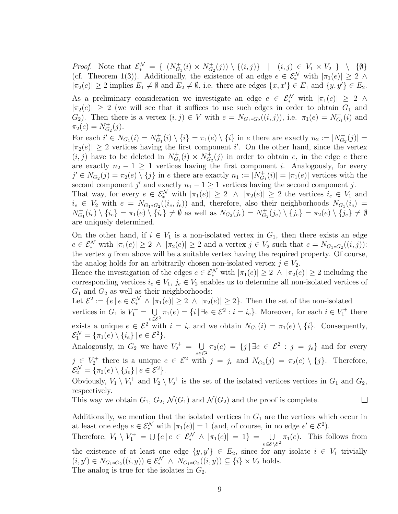*Proof.* Note that  $\mathcal{E}^{\mathcal{N}}_{*} = \{ (N_{G_1}^{+}(i) \times N_{G_2}^{+}(j)) \setminus \{(i,j)\}\mid (i,j) \in V_1 \times V_2 \} \setminus \{\emptyset\}$ (cf. Theorem 1(3)). Additionally, the existence of an edge  $e \in \mathcal{E}_{*}^{\mathcal{N}}$  with  $|\pi_1(e)| \geq 2 \land$  $|\pi_2(e)| \geq 2$  implies  $E_1 \neq \emptyset$  and  $E_2 \neq \emptyset$ , i.e. there are edges  $\{x, x'\} \in E_1$  and  $\{y, y'\} \in E_2$ . As a preliminary consideration we investigate an edge  $e \in \mathcal{E}_{*}^{\mathcal{N}}$  with  $|\pi_1(e)| \geq 2 \land$  $|\pi_2(e)| \geq 2$  (we will see that it suffices to use such edges in order to obtain  $G_1$  and  $G_2$ ). Then there is a vertex  $(i, j) \in V$  with  $e = N_{G_1 * G_2}((i, j))$ , i.e.  $\pi_1(e) = N_{G_1}^+(i)$  and  $\pi_2(e) = N_{G_2}^+(j).$ 

For each  $i' \in N_{G_1}(i) = N_{G_1}^+(i) \setminus \{i\} = \pi_1(e) \setminus \{i\}$  in e there are exactly  $n_2 := |N_{G_2}^+(j)| =$  $|\pi_2(e)| \geq 2$  vertices having the first component i'. On the other hand, since the vertex  $(i, j)$  have to be deleted in  $N_{G_1}^+(i) \times N_{G_2}^+(j)$  in order to obtain e, in the edge e there are exactly  $n_2 - 1 \geq 1$  vertices having the first component *i*. Analogously, for every  $j' \in N_{G_2}(j) = \pi_2(e) \setminus \{j\}$  in e there are exactly  $n_1 := |N_{G_1}^+(i)| = |\pi_1(e)|$  vertices with the second component  $j'$  and exactly  $n_1 - 1 \geq 1$  vertices having the second component j.

That way, for every  $e \in \mathcal{E}_*^{\mathcal{N}}$  with  $|\pi_1(e)| \geq 2 \land |\pi_2(e)| \geq 2$  the vertices  $i_e \in V_1$  and  $i_e \in V_2$  with  $e = N_{G_1 * G_2}((i_e, j_e))$  and, therefore, also their neighborhoods  $N_{G_1}(i_e)$  =  $N_{G_1}^+(i_e) \setminus \{i_e\} \neq \emptyset$  as well as  $N_{G_2}(j_e) = N_{G_2}^+(j_e) \setminus \{j_e\} = \pi_2(e) \setminus \{j_e\} \neq \emptyset$ are uniquely determined.

On the other hand, if  $i \in V_1$  is a non-isolated vertex in  $G_1$ , then there exists an edge  $e \in \mathcal{E}_{*}^{\mathcal{N}}$  with  $|\pi_1(e)| \geq 2 \land |\pi_2(e)| \geq 2$  and a vertex  $j \in V_2$  such that  $e = N_{G_1 * G_2}((i, j))$ : the vertex  $y$  from above will be a suitable vertex having the required property. Of course, the analog holds for an arbitrarily chosen non-isolated vertex  $j \in V_2$ .

Hence the investigation of the edges  $e \in \mathcal{E}_{*}^{\mathcal{N}}$  with  $|\pi_1(e)| \geq 2 \land |\pi_2(e)| \geq 2$  including the corresponding vertices  $i_e \in V_1$ ,  $j_e \in V_2$  enables us to determine all non-isolated vertices of  $G_1$  and  $G_2$  as well as their neighborhoods:

Let  $\mathcal{E}^2 := \{e \mid e \in \mathcal{E}_*^{\mathcal{N}} \land |\pi_1(e)| \geq 2 \land |\pi_2(e)| \geq 2\}$ . Then the set of the non-isolated vertices in  $G_1$  is  $V_1^+ = \bigcup$  $\bigcup_{e \in \mathcal{E}^2} \pi_1(e) = \{i \mid \exists e \in \mathcal{E}^2 : i = i_e\}.$  Moreover, for each  $i \in V_1^+$  there exists a unique  $e \in \mathcal{E}^2$  with  $i = i_e$  and we obtain  $N_{G_1}(i) = \pi_1(e) \setminus \{i\}$ . Consequently,  $\mathcal{E}_1^{\mathcal{N}} = \{ \pi_1(e) \setminus \{i_e\} \, | \, e \in \mathcal{E}^2 \}.$ 

Analogously, in  $G_2$  we have  $V_2^+ = \bigcup$  $\bigcup_{e \in \mathcal{E}^2} \pi_2(e) = \{j | \exists e \in \mathcal{E}^2 : j = j_e\}$  and for every  $j \in V_2^+$  there is a unique  $e \in \mathcal{E}^2$  with  $j = j_e$  and  $N_{G_2}(j) = \pi_2(e) \setminus \{j\}$ . Therefore,  $\mathcal{E}_2^{\mathcal{N}} = \{ \pi_2(e) \setminus \{j_e\} \, | \, e \in \mathcal{E}^2 \}.$ 

Obviously,  $V_1 \setminus V_1^+$  and  $V_2 \setminus V_2^+$  is the set of the isolated vertices vertices in  $G_1$  and  $G_2$ , respectively.

 $\Box$ 

This way we obtain  $G_1$ ,  $G_2$ ,  $\mathcal{N}(G_1)$  and  $\mathcal{N}(G_2)$  and the proof is complete.

Additionally, we mention that the isolated vertices in  $G_1$  are the vertices which occur in at least one edge  $e \in \mathcal{E}_*^{\mathcal{N}}$  with  $|\pi_1(e)| = 1$  (and, of course, in no edge  $e' \in \mathcal{E}^2$ ).

Therefore,  $V_1 \setminus V_1^+ = \bigcup \{ e \mid e \in \mathcal{E}_*^{\mathcal{N}} \land |\pi_1(e)| = 1 \} = \bigcup$  $\bigcup_{e \in \mathcal{E} \setminus \mathcal{E}^2} \pi_1(e)$ . This follows from the existence of at least one edge  $\{y, y'\} \in E_2$ , since for any isolate  $i \in V_1$  trivially  $(i, y') \in N_{G_1 * G_2}((i, y)) \in \mathcal{E}_*^{\mathcal{N}} \wedge N_{G_1 * G_2}((i, y)) \subseteq \{i\} \times V_2$  holds. The analog is true for the isolates in  $G_2$ .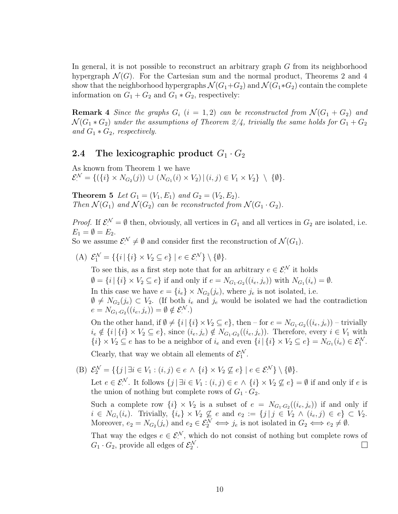In general, it is not possible to reconstruct an arbitrary graph  $G$  from its neighborhood hypergraph  $\mathcal{N}(G)$ . For the Cartesian sum and the normal product, Theorems 2 and 4 show that the neighborhood hypergraphs  $\mathcal{N}(G_1+G_2)$  and  $\mathcal{N}(G_1*G_2)$  contain the complete information on  $G_1 + G_2$  and  $G_1 * G_2$ , respectively:

**Remark 4** Since the graphs  $G_i$   $(i = 1, 2)$  can be reconstructed from  $\mathcal{N}(G_1 + G_2)$  and  $\mathcal{N}(G_1 * G_2)$  under the assumptions of Theorem 2/4, trivially the same holds for  $G_1 + G_2$ and  $G_1 * G_2$ , respectively.

#### 2.4 The lexicographic product  $G_1 \cdot G_2$

As known from Theorem 1 we have  $\mathcal{E}^{\mathcal{N}} = \{ (\{i\} \times N_{G_2}(j)) \cup (N_{G_1}(i) \times V_2) \mid (i, j) \in V_1 \times V_2 \} \setminus \{ \emptyset \}.$ 

**Theorem 5** Let  $G_1 = (V_1, E_1)$  and  $G_2 = (V_2, E_2)$ . Then  $\mathcal{N}(G_1)$  and  $\mathcal{N}(G_2)$  can be reconstructed from  $\mathcal{N}(G_1 \cdot G_2)$ .

*Proof.* If  $\mathcal{E}^{\mathcal{N}} = \emptyset$  then, obviously, all vertices in  $G_1$  and all vertices in  $G_2$  are isolated, i.e.  $E_1 = \emptyset = E_2.$ 

So we assume  $\mathcal{E}^{\mathcal{N}} \neq \emptyset$  and consider first the reconstruction of  $\mathcal{N}(G_1)$ .

(A)  $\mathcal{E}_1^{\mathcal{N}} = \{ \{i \mid \{i\} \times V_2 \subseteq e \} \mid e \in \mathcal{E}_1^{\mathcal{N}} \} \setminus \{ \emptyset \}.$ 

To see this, as a first step note that for an arbitrary  $e \in \mathcal{E}^{\mathcal{N}}$  it holds  $\emptyset = \{i \mid \{i\} \times V_2 \subseteq e\}$  if and only if  $e = N_{G_1 \cdot G_2}((i_e, j_e))$  with  $N_{G_1}(i_e) = \emptyset$ . In this case we have  $e = \{i_e\} \times N_{G_2}(j_e)$ , where  $j_e$  is not isolated, i.e.  $\emptyset \neq N_{G_2}(j_e) \subset V_2$ . (If both  $i_e$  and  $j_e$  would be isolated we had the contradiction  $e = N_{G_1 \cdot G_2}((i_e, j_e)) = \emptyset \notin \mathcal{E}^{\mathcal{N}}$ .)

On the other hand, if  $\emptyset \neq \{i \mid \{i\} \times V_2 \subseteq e\}$ , then – for  $e = N_{G_1 \cdot G_2}((i_e, j_e))$  – trivially  $i_e \notin \{i \mid \{i\} \times V_2 \subseteq e\}$ , since  $(i_e, j_e) \notin N_{G_1 \cdot G_2}((i_e, j_e))$ . Therefore, every  $i \in V_1$  with  $\{i\} \times V_2 \subseteq e$  has to be a neighbor of  $i_e$  and even  $\{i \mid \{i\} \times V_2 \subseteq e\} = N_{G_1}(i_e) \in \mathcal{E}_1^{\mathcal{N}}$ .

Clearly, that way we obtain all elements of  $\mathcal{E}_1^{\mathcal{N}}$ .

(B)  $\mathcal{E}_2^{\mathcal{N}} = \{ \{j \mid \exists i \in V_1 : (i, j) \in e \land \{i\} \times V_2 \nsubseteq e \} \mid e \in \mathcal{E}_1^{\mathcal{N}} \} \setminus \{ \emptyset \}.$ 

Let  $e \in \mathcal{E}^{\mathcal{N}}$ . It follows  $\{j \mid \exists i \in V_1 : (i, j) \in e \land \{i\} \times V_2 \nsubseteq e\} = \emptyset$  if and only if  $e$  is the union of nothing but complete rows of  $G_1 \cdot G_2$ .

Such a complete row  $\{i\} \times V_2$  is a subset of  $e = N_{G_1 \cdot G_2}((i_e, j_e))$  if and only if  $i \in N_{G_1}(i_e)$ . Trivially,  $\{i_e\} \times V_2 \nsubseteq e$  and  $e_2 := \{j \mid j \in V_2 \land (i_e, j) \in e\} \subset V_2$ . Moreover,  $e_2 = N_{G_2}(j_e)$  and  $e_2 \in \mathcal{E}_2^{\mathcal{N}} \iff j_e$  is not isolated in  $G_2 \iff e_2 \neq \emptyset$ .

That way the edges  $e \in \mathcal{E}^{\mathcal{N}}$ , which do not consist of nothing but complete rows of  $G_1 \cdot G_2$ , provide all edges of  $\mathcal{E}_2^{\mathcal{N}}$ .  $\Box$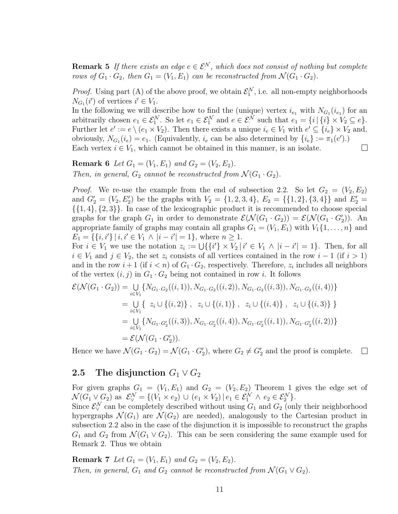**Remark 5** If there exists an edge  $e \in \mathcal{E}^{\mathcal{N}}$ , which does not consist of nothing but complete rows of  $G_1 \cdot G_2$ , then  $G_1 = (V_1, E_1)$  can be reconstructed from  $\mathcal{N}(G_1 \cdot G_2)$ .

*Proof.* Using part (A) of the above proof, we obtain  $\mathcal{E}_1^{\mathcal{N}}$ , i.e. all non-empty neighborhoods  $N_{G_1}(i')$  of vertices  $i' \in V_1$ .

In the following we will describe how to find the (unique) vertex  $i_{e_1}$  with  $N_{G_1}(i_{e_1})$  for an arbitrarily chosen  $e_1 \in \mathcal{E}_1^{\mathcal{N}}$ . So let  $e_1 \in \mathcal{E}_1^{\mathcal{N}}$  and  $e \in \mathcal{E}_1^{\mathcal{N}}$  such that  $e_1 = \{i \mid \{i\} \times V_2 \subseteq e\}$ . Further let  $e' := e \setminus (e_1 \times V_2)$ . Then there exists a unique  $i_e \in V_1$  with  $e' \subseteq \{i_e\} \times V_2$  and, obviously,  $N_{G_1}(i_e) = e_1$ . (Equivalently,  $i_e$  can be also determined by  $\{i_e\} := \pi_1(e').$ ) Each vertex  $i \in V_1$ , which cannot be obtained in this manner, is an isolate.  $\Box$ 

**Remark 6** Let  $G_1 = (V_1, E_1)$  and  $G_2 = (V_2, E_2)$ . Then, in general,  $G_2$  cannot be reconstructed from  $\mathcal{N}(G_1 \cdot G_2)$ .

*Proof.* We re-use the example from the end of subsection 2.2. So let  $G_2 = (V_2, E_2)$ and  $G'_{2} = (V_{2}, E'_{2})$  be the graphs with  $V_{2} = \{1, 2, 3, 4\}, E_{2} = \{\{1, 2\}, \{3, 4\}\}\$  and  $E'_{2} =$  $\{\{1,4\},\{2,3\}\}\.$  In case of the lexicographic product it is recommended to choose special graphs for the graph  $G_1$  in order to demonstrate  $\mathcal{E}(\mathcal{N}(G_1 \cdot G_2)) = \mathcal{E}(\mathcal{N}(G_1 \cdot G_2')).$  An appropriate family of graphs may contain all graphs  $G_1 = (V_1, E_1)$  with  $V_1\{1, \ldots, n\}$  and  $E_1 = \{\{i, i'\} | i, i' \in V_1 \land |i - i'| = 1\}$ , where  $n \geq 1$ .

For  $i \in V_1$  we use the notation  $z_i := \bigcup \{ \{i'\} \times V_2 \mid i' \in V_1 \land |i - i'| = 1 \}.$  Then, for all  $i \in V_1$  and  $j \in V_2$ , the set  $z_i$  consists of all vertices contained in the row  $i-1$  (if  $i>1$ ) and in the row  $i+1$  (if  $i < n$ ) of  $G_1 \cdot G_2$ , respectively. Therefore,  $z_i$  includes all neighbors of the vertex  $(i, j)$  in  $G_1 \cdot G_2$  being not contained in row *i*. It follows

$$
\mathcal{E}(\mathcal{N}(G_1 \cdot G_2)) = \bigcup_{i \in V_1} \{ N_{G_1 \cdot G_2}((i, 1)), N_{G_1 \cdot G_2}((i, 2)), N_{G_1 \cdot G_2}((i, 3)), N_{G_1 \cdot G_2}((i, 4)) \}
$$
  
\n
$$
= \bigcup_{i \in V_1} \{ z_i \cup \{(i, 2)\}, z_i \cup \{(i, 1)\}, z_i \cup \{(i, 4)\}, z_i \cup \{(i, 3)\} \}
$$
  
\n
$$
= \bigcup_{i \in V_1} \{ N_{G_1 \cdot G_2'}((i, 3)), N_{G_1 \cdot G_2'}((i, 4)), N_{G_1 \cdot G_2'}((i, 1)), N_{G_1 \cdot G_2'}((i, 2)) \}
$$
  
\n
$$
= \mathcal{E}(\mathcal{N}(G_1 \cdot G_2')).
$$

Hence we have  $\mathcal{N}(G_1 \cdot G_2) = \mathcal{N}(G_1 \cdot G_2')$ , where  $G_2 \neq G_2'$  and the proof is complete.  $\Box$ 

#### 2.5 The disjunction  $G_1 \vee G_2$

For given graphs  $G_1 = (V_1, E_1)$  and  $G_2 = (V_2, E_2)$  Theorem 1 gives the edge set of  $\mathcal{N}(G_1 \vee G_2)$  as  $\mathcal{E}_{\vee}^{\mathcal{N}} = \{ (V_1 \times e_2) \cup (e_1 \times V_2) \mid e_1 \in \mathcal{E}_{1}^{\mathcal{N}} \wedge e_2 \in \mathcal{E}_{2}^{\mathcal{N}} \}.$ 

Since  $\mathcal{E}_{\vee}^{\mathcal{N}}$  can be completely described without using  $G_1$  and  $G_2$  (only their neighborhood hypergraphs  $\mathcal{N}(G_1)$  are  $\mathcal{N}(G_2)$  are needed), analogously to the Cartesian product in subsection 2.2 also in the case of the disjunction it is impossible to reconstruct the graphs  $G_1$  and  $G_2$  from  $\mathcal{N}(G_1 \vee G_2)$ . This can be seen considering the same example used for Remark 2. Thus we obtain

**Remark 7** Let  $G_1 = (V_1, E_1)$  and  $G_2 = (V_2, E_2)$ . Then, in general,  $G_1$  and  $G_2$  cannot be reconstructed from  $\mathcal{N}(G_1 \vee G_2)$ .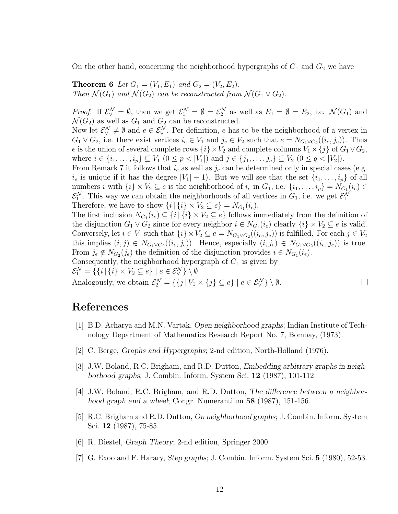On the other hand, concerning the neighborhood hypergraphs of  $G_1$  and  $G_2$  we have

**Theorem 6** Let  $G_1 = (V_1, E_1)$  and  $G_2 = (V_2, E_2)$ . Then  $\mathcal{N}(G_1)$  and  $\mathcal{N}(G_2)$  can be reconstructed from  $\mathcal{N}(G_1 \vee G_2)$ .

*Proof.* If  $\mathcal{E}_{\vee}^{\mathcal{N}} = \emptyset$ , then we get  $\mathcal{E}_{1}^{\mathcal{N}} = \emptyset = \mathcal{E}_{2}^{\mathcal{N}}$  as well as  $E_{1} = \emptyset = E_{2}$ , i.e.  $\mathcal{N}(G_{1})$  and  $\mathcal{N}(G_2)$  as well as  $G_1$  and  $G_2$  can be reconstructed.

Now let  $\mathcal{E}_{\vee}^{\mathcal{N}} \neq \emptyset$  and  $e \in \mathcal{E}_{\vee}^{\mathcal{N}}$ . Per definition, e has to be the neighborhood of a vertex in  $G_1 \vee G_2$ , i.e. there exist vertices  $i_e \in V_1$  and  $j_e \in V_2$  such that  $e = N_{G_1 \vee G_2}((i_e, j_e))$ . Thus e is the union of several complete rows  $\{i\} \times V_2$  and complete columns  $V_1 \times \{j\}$  of  $G_1 \vee G_2$ , where  $i \in \{i_1, ..., i_p\} \subseteq V_1$   $(0 \leq p < |V_1|)$  and  $j \in \{j_1, ..., j_q\} \subseteq V_2$   $(0 \leq q < |V_2|)$ .

From Remark 7 it follows that  $i_e$  as well as  $j_e$  can be determined only in special cases (e.g.  $i_e$  is unique if it has the degree  $|V_1| - 1$ ). But we will see that the set  $\{i_1, \ldots, i_p\}$  of all numbers *i* with  $\{i\} \times V_2 \subseteq e$  is the neighborhood of  $i_e$  in  $G_1$ , i.e.  $\{i_1, \ldots, i_p\} = N_{G_1}(i_e) \in$  $\mathcal{E}_1^{\mathcal{N}}$ . This way we can obtain the neighborhoods of all vertices in  $G_1$ , i.e. we get  $\mathcal{E}_1^{\mathcal{N}}$ . Therefore, we have to show  $\{i \mid \{i\} \times V_2 \subseteq e\} = N_{G_1}(i_e)$ .

The first inclusion  $N_{G_1}(i_e) \subseteq \{i \mid \{i\} \times V_2 \subseteq e\}$  follows immediately from the definition of the disjunction  $G_1 \vee G_2$  since for every neighbor  $i \in N_{G_1}(i_e)$  clearly  $\{i\} \times V_2 \subseteq e$  is valid. Conversely, let  $i \in V_1$  such that  $\{i\} \times V_2 \subseteq e = N_{G_1 \vee G_2}((i_e, j_e))$  is fulfilled. For each  $j \in V_2$ this implies  $(i, j) \in N_{G_1 \vee G_2}((i_e, j_e))$ . Hence, especially  $(i, j_e) \in N_{G_1 \vee G_2}((i_e, j_e))$  is true. From  $j_e \notin N_{G_2}(j_e)$  the definition of the disjunction provides  $i \in N_{G_1}(i_e)$ .

Consequently, the neighborhood hypergraph of  $G_1$  is given by  $\mathcal{E}_1^{\mathcal{N}} = \{ \{i \mid \{i\} \times V_2 \subseteq e \} \mid e \in \mathcal{E}_{\vee}^{\mathcal{N}} \} \setminus \emptyset.$ 

Analogously, we obtain  $\mathcal{E}_2^{\mathcal{N}} = \{ \{j \mid V_1 \times \{j\} \subseteq e\} \mid e \in \mathcal{E}_{\vee}^{\mathcal{N}} \} \setminus \emptyset$ .

## References

[1] B.D. Acharya and M.N. Vartak, Open neighborhood graphs; Indian Institute of Technology Department of Mathematics Research Report No. 7, Bombay, (1973).

 $\Box$ 

- [2] C. Berge, Graphs and Hypergraphs; 2-nd edition, North-Holland (1976).
- [3] J.W. Boland, R.C. Brigham, and R.D. Dutton, Embedding arbitrary graphs in neighborhood graphs; J. Combin. Inform. System Sci. 12 (1987), 101-112.
- [4] J.W. Boland, R.C. Brigham, and R.D. Dutton, The difference between a neighborhood graph and a wheel; Congr. Numerantium **58** (1987), 151-156.
- [5] R.C. Brigham and R.D. Dutton, On neighborhood graphs; J. Combin. Inform. System Sci. 12 (1987), 75-85.
- [6] R. Diestel, Graph Theory; 2-nd edition, Springer 2000.
- [7] G. Exoo and F. Harary, Step graphs; J. Combin. Inform. System Sci. 5 (1980), 52-53.